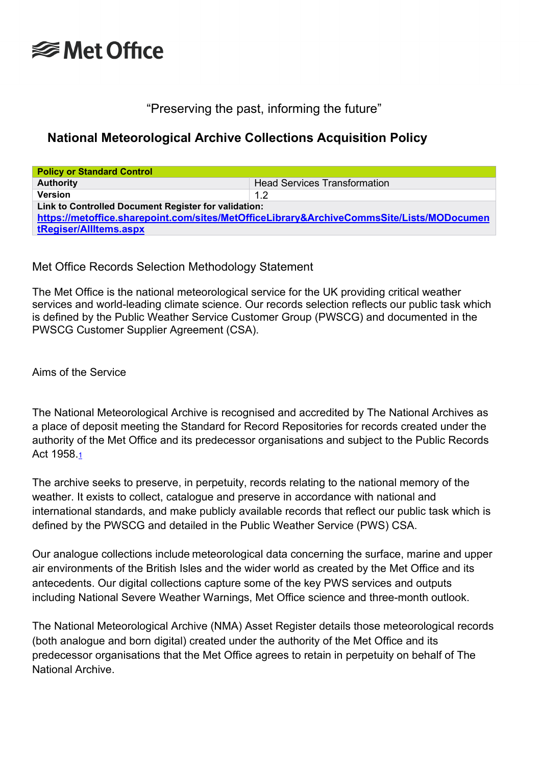

## "Preserving the past, informing the future"

## **National Meteorological Archive Collections Acquisition Policy**

| <b>Policy or Standard Control</b>                                                                                                                                          |                                     |  |
|----------------------------------------------------------------------------------------------------------------------------------------------------------------------------|-------------------------------------|--|
| <b>Authority</b>                                                                                                                                                           | <b>Head Services Transformation</b> |  |
| <b>Version</b>                                                                                                                                                             | 1.2                                 |  |
| Link to Controlled Document Register for validation:<br>https://metoffice.sharepoint.com/sites/MetOfficeLibrary&ArchiveCommsSite/Lists/MODocumen<br>tRegiser/AllItems.aspx |                                     |  |

Met Office Records Selection Methodology Statement

The Met Office is the national meteorological service for the UK providing critical weather services and world-leading climate science. Our records selection reflects our public task which is defined by the Public Weather Service Customer Group (PWSCG) and documented in the PWSCG Customer Supplier Agreement (CSA).

Aims of the Service

The National Meteorological Archive is recognised and accredited by The National Archives as a place of deposit meeting the Standard for Record Repositories for records created under the authority of the Met Office and its predecessor organisations and subject to the Public Records Act 1958[.1](https://metoffice.sharepoint.com/sites/metofficelibraryarchiveteam/NMLAPoliciesandPlans/Collections%20Acquisition%20and%20Development/Collections%20Acquisition%20for%20External%20Web%20Site/NMA_Acquisitions_Policy.docx#_bookmark0)

The archive seeks to preserve, in perpetuity, records relating to the national memory of the weather. It exists to collect, catalogue and preserve in accordance with national and international standards, and make publicly available records that reflect our public task which is defined by the PWSCG and detailed in the Public Weather Service (PWS) CSA.

Our analogue collections include meteorological data concerning the surface, marine and upper air environments of the British Isles and the wider world as created by the Met Office and its antecedents. Our digital collections capture some of the key PWS services and outputs including National Severe Weather Warnings, Met Office science and three-month outlook.

The National Meteorological Archive (NMA) Asset Register details those meteorological records (both analogue and born digital) created under the authority of the Met Office and its predecessor organisations that the Met Office agrees to retain in perpetuity on behalf of The National Archive.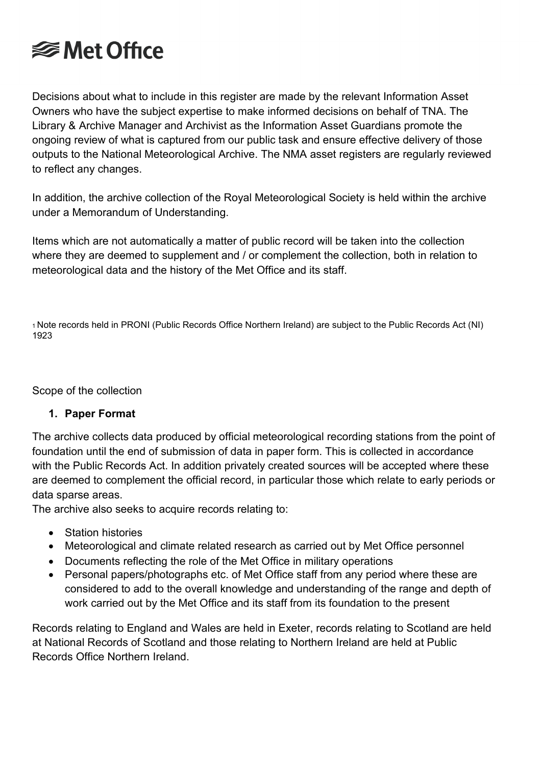

Decisions about what to include in this register are made by the relevant Information Asset Owners who have the subject expertise to make informed decisions on behalf of TNA. The Library & Archive Manager and Archivist as the Information Asset Guardians promote the ongoing review of what is captured from our public task and ensure effective delivery of those outputs to the National Meteorological Archive. The NMA asset registers are regularly reviewed to reflect any changes.

In addition, the archive collection of the Royal Meteorological Society is held within the archive under a Memorandum of Understanding.

Items which are not automatically a matter of public record will be taken into the collection where they are deemed to supplement and / or complement the collection, both in relation to meteorological data and the history of the Met Office and its staff.

1 Note records held in PRONI (Public Records Office Northern Ireland) are subject to the Public Records Act (NI) 1923

Scope of the collection

## **1. Paper Format**

The archive collects data produced by official meteorological recording stations from the point of foundation until the end of submission of data in paper form. This is collected in accordance with the Public Records Act. In addition privately created sources will be accepted where these are deemed to complement the official record, in particular those which relate to early periods or data sparse areas.

The archive also seeks to acquire records relating to:

- Station histories
- Meteorological and climate related research as carried out by Met Office personnel
- Documents reflecting the role of the Met Office in military operations
- Personal papers/photographs etc. of Met Office staff from any period where these are considered to add to the overall knowledge and understanding of the range and depth of work carried out by the Met Office and its staff from its foundation to the present

Records relating to England and Wales are held in Exeter, records relating to Scotland are held at National Records of Scotland and those relating to Northern Ireland are held at Public Records Office Northern Ireland.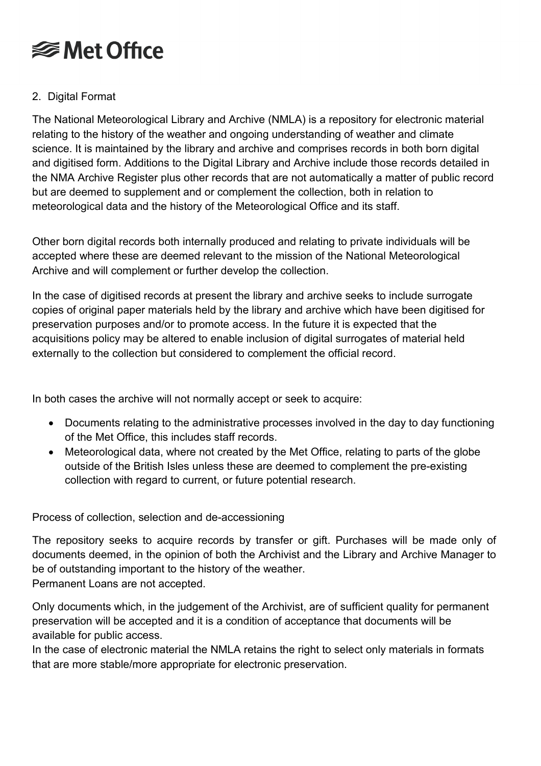

## 2. Digital Format

The National Meteorological Library and Archive (NMLA) is a repository for electronic material relating to the history of the weather and ongoing understanding of weather and climate science. It is maintained by the library and archive and comprises records in both born digital and digitised form. Additions to the Digital Library and Archive include those records detailed in the NMA Archive Register plus other records that are not automatically a matter of public record but are deemed to supplement and or complement the collection, both in relation to meteorological data and the history of the Meteorological Office and its staff.

Other born digital records both internally produced and relating to private individuals will be accepted where these are deemed relevant to the mission of the National Meteorological Archive and will complement or further develop the collection.

In the case of digitised records at present the library and archive seeks to include surrogate copies of original paper materials held by the library and archive which have been digitised for preservation purposes and/or to promote access. In the future it is expected that the acquisitions policy may be altered to enable inclusion of digital surrogates of material held externally to the collection but considered to complement the official record.

In both cases the archive will not normally accept or seek to acquire:

- Documents relating to the administrative processes involved in the day to day functioning of the Met Office, this includes staff records.
- Meteorological data, where not created by the Met Office, relating to parts of the globe outside of the British Isles unless these are deemed to complement the pre-existing collection with regard to current, or future potential research.

Process of collection, selection and de-accessioning

The repository seeks to acquire records by transfer or gift. Purchases will be made only of documents deemed, in the opinion of both the Archivist and the Library and Archive Manager to be of outstanding important to the history of the weather. Permanent Loans are not accepted.

Only documents which, in the judgement of the Archivist, are of sufficient quality for permanent preservation will be accepted and it is a condition of acceptance that documents will be available for public access.

In the case of electronic material the NMLA retains the right to select only materials in formats that are more stable/more appropriate for electronic preservation.